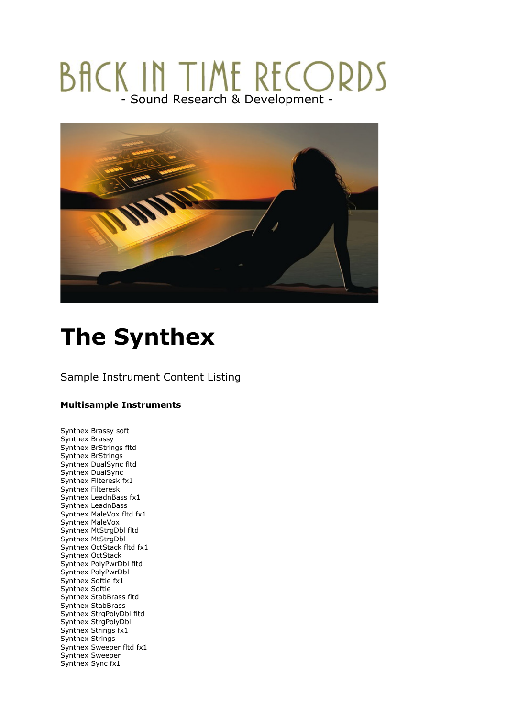## BACK IN TIME RECORDS



## **The Synthex**

## Sample Instrument Content Listing

## **Multisample Instruments**

Synthex Brassy soft Synthex Brassy Synthex BrStrings fltd Synthex BrStrings Synthex DualSync fltd Synthex DualSync Synthex Filteresk fx1 Synthex Filteresk Synthex LeadnBass fx1 Synthex LeadnBass Synthex MaleVox fltd fx1 Synthex MaleVox Synthex MtStrgDbl fltd Synthex MtStrgDbl Synthex OctStack fltd fx1 Synthex OctStack Synthex PolyPwrDbl fltd Synthex PolyPwrDbl Synthex Softie fx1 Synthex Softie Synthex StabBrass fltd Synthex StabBrass Synthex StrgPolyDbl fltd Synthex StrgPolyDbl Synthex Strings fx1 Synthex Strings Synthex Sweeper fltd fx1 Synthex Sweeper Synthex Sync fx1